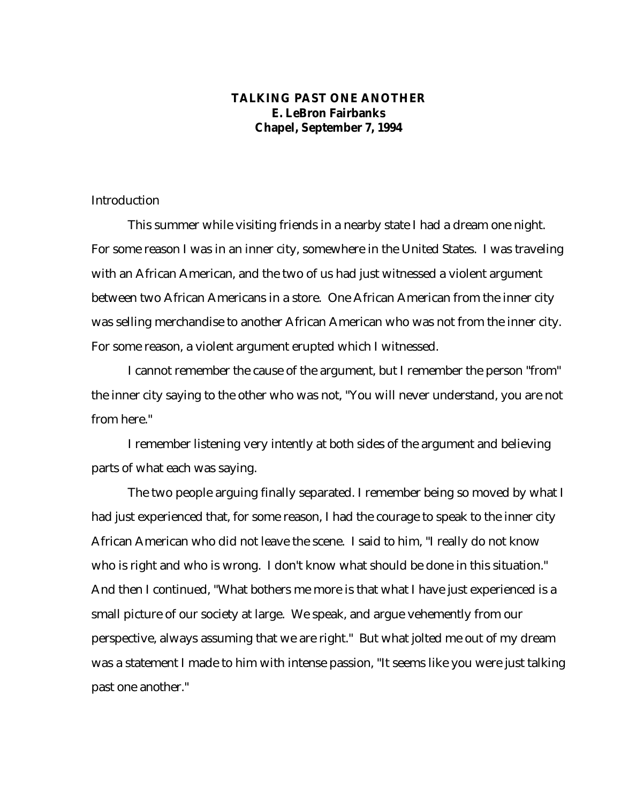## **TALKING PAST ONE ANOTHER E. LeBron Fairbanks Chapel, September 7, 1994**

## Introduction

This summer while visiting friends in a nearby state I had a dream one night. For some reason I was in an inner city, somewhere in the United States. I was traveling with an African American, and the two of us had just witnessed a violent argument between two African Americans in a store. One African American from the inner city was selling merchandise to another African American who was not from the inner city. For some reason, a violent argument erupted which I witnessed.

I cannot remember the cause of the argument, but I remember the person "from" the inner city saying to the other who was not, "You will never understand, you are not from here."

I remember listening very intently at both sides of the argument and believing parts of what each was saying.

The two people arguing finally separated. I remember being so moved by what I had just experienced that, for some reason, I had the courage to speak to the inner city African American who did not leave the scene. I said to him, "I really do not know who is right and who is wrong. I don't know what should be done in this situation." And then I continued, "What bothers me more is that what I have just experienced is a small picture of our society at large. We speak, and argue vehemently from our perspective, always assuming that we are right." But what jolted me out of my dream was a statement I made to him with intense passion, "It seems like you were just talking past one another."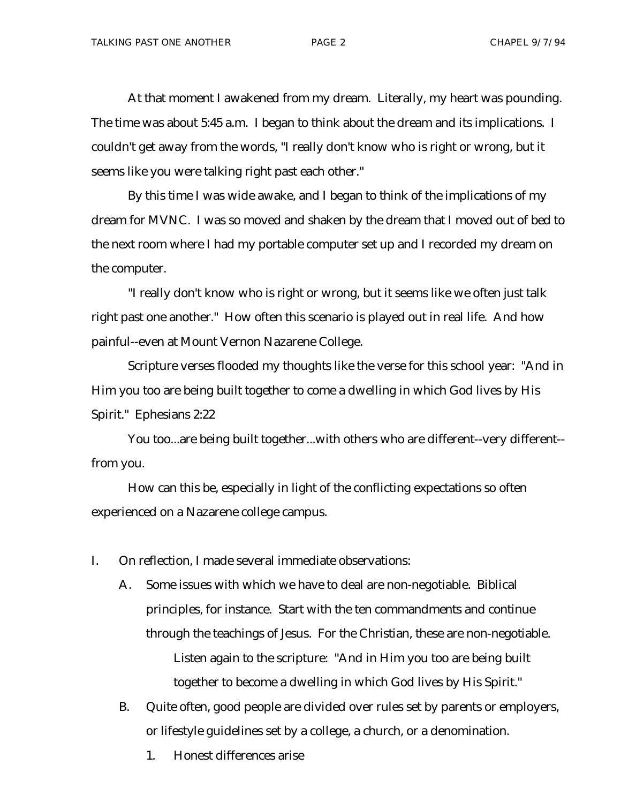At that moment I awakened from my dream. Literally, my heart was pounding. The time was about 5:45 a.m. I began to think about the dream and its implications. I couldn't get away from the words, "I really don't know who is right or wrong, but it seems like you were talking right past each other."

By this time I was wide awake, and I began to think of the implications of my dream for MVNC. I was so moved and shaken by the dream that I moved out of bed to the next room where I had my portable computer set up and I recorded my dream on the computer.

"I really don't know who is right or wrong, but it seems like we often just talk right past one another." How often this scenario is played out in real life. And how painful--even at Mount Vernon Nazarene College.

Scripture verses flooded my thoughts like the verse for this school year: "And in Him you too are being built together to come a dwelling in which God lives by His Spirit." Ephesians 2:22

You too...are being built together...with others who are different--very different- from you.

How can this be, especially in light of the conflicting expectations so often experienced on a Nazarene college campus.

I. On reflection, I made several immediate observations:

- A. Some issues with which we have to deal are non-negotiable. Biblical principles, for instance. Start with the ten commandments and continue through the teachings of Jesus. For the Christian, these are non-negotiable. Listen again to the scripture: "And in Him you too are being built together to become a dwelling in which God lives by His Spirit."
- B. Quite often, good people are divided over rules set by parents or employers, or lifestyle guidelines set by a college, a church, or a denomination.
	- 1. Honest differences arise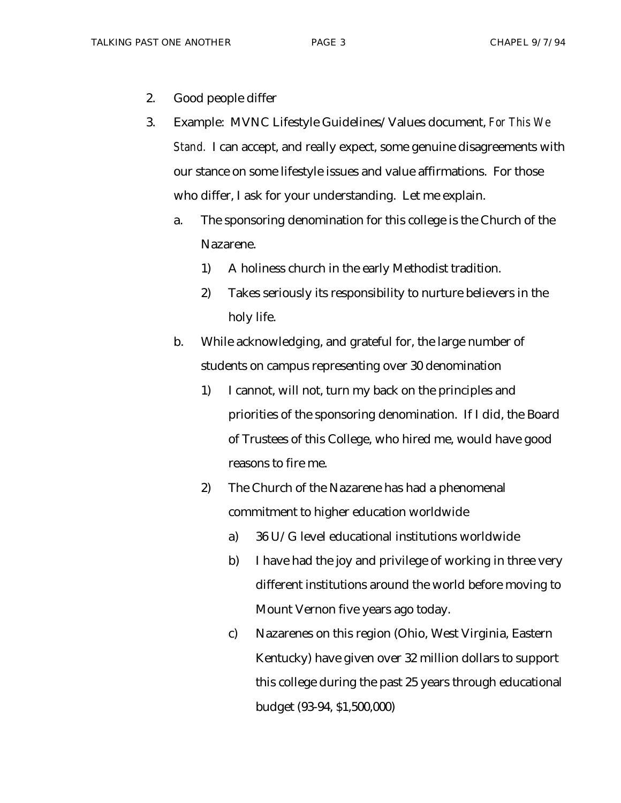- 2. Good people differ
- 3. Example: MVNC Lifestyle Guidelines/Values document, *For This We Stand.* I can accept, and really expect, some genuine disagreements with our stance on some lifestyle issues and value affirmations. For those who differ, I ask for your understanding. Let me explain.
	- a. The sponsoring denomination for this college is the Church of the Nazarene.
		- 1) A holiness church in the early Methodist tradition.
		- 2) Takes seriously its responsibility to nurture believers in the holy life.
	- b. While acknowledging, and grateful for, the large number of students on campus representing over 30 denomination
		- 1) I cannot, will not, turn my back on the principles and priorities of the sponsoring denomination. If I did, the Board of Trustees of this College, who hired me, would have good reasons to fire me.
		- 2) The Church of the Nazarene has had a phenomenal commitment to higher education worldwide
			- a) 36 U/G level educational institutions worldwide
			- b) I have had the joy and privilege of working in three very different institutions around the world before moving to Mount Vernon five years ago today.
			- c) Nazarenes on this region (Ohio, West Virginia, Eastern Kentucky) have given over 32 million dollars to support this college during the past 25 years through educational budget (93-94, \$1,500,000)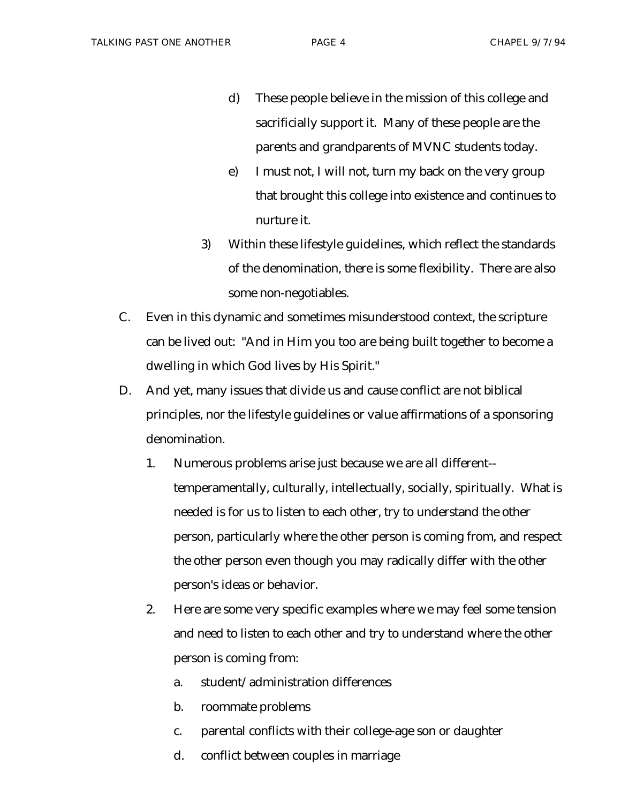- d) These people believe in the mission of this college and sacrificially support it. Many of these people are the parents and grandparents of MVNC students today.
- e) I must not, I will not, turn my back on the very group that brought this college into existence and continues to nurture it.
- 3) Within these lifestyle guidelines, which reflect the standards of the denomination, there is some flexibility. There are also some non-negotiables.
- C. Even in this dynamic and sometimes misunderstood context, the scripture can be lived out: "And in Him you too are being built together to become a dwelling in which God lives by His Spirit."
- D. And yet, many issues that divide us and cause conflict are not biblical principles, nor the lifestyle guidelines or value affirmations of a sponsoring denomination.
	- 1. Numerous problems arise just because we are all different- temperamentally, culturally, intellectually, socially, spiritually. What is needed is for us to listen to each other, try to understand the other person, particularly where the other person is coming from, and respect the other person even though you may radically differ with the other person's ideas or behavior.
	- 2. Here are some very specific examples where we may feel some tension and need to listen to each other and try to understand where the other person is coming from:
		- a. student/administration differences
		- b. roommate problems
		- c. parental conflicts with their college-age son or daughter
		- d. conflict between couples in marriage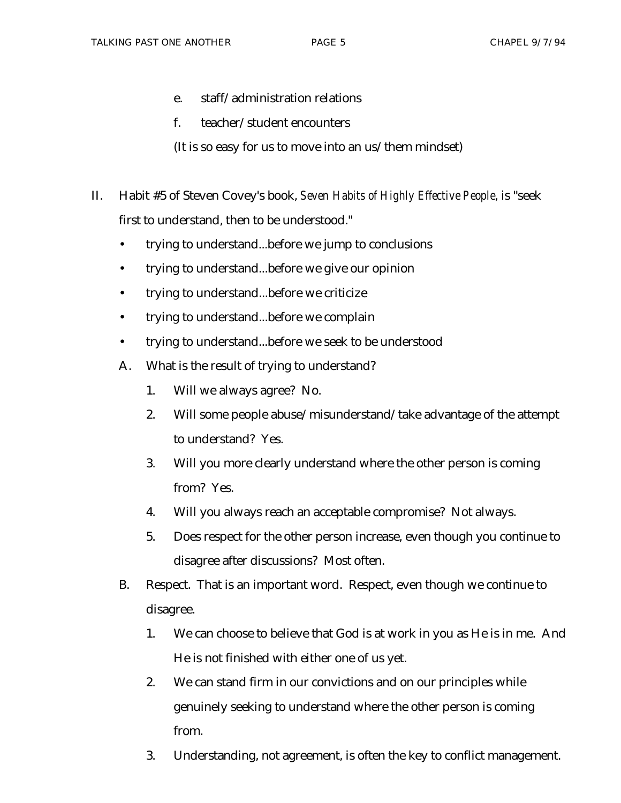- e. staff/administration relations
- f. teacher/student encounters
- (It is so easy for us to move into an us/them mindset)
- II. Habit #5 of Steven Covey's book, *Seven Habits of Highly Effective People*, is "seek first to understand, then to be understood."
	- trying to understand...before we jump to conclusions
	- trying to understand...before we give our opinion
	- trying to understand...before we criticize
	- trying to understand...before we complain
	- trying to understand...before we seek to be understood
	- A. What is the result of trying to understand?
		- 1. Will we always agree? No.
		- 2. Will some people abuse/misunderstand/take advantage of the attempt to understand? Yes.
		- 3. Will you more clearly understand where the other person is coming from? Yes.
		- 4. Will you always reach an acceptable compromise? Not always.
		- 5. Does respect for the other person increase, even though you continue to disagree after discussions? Most often.
	- B. Respect. That is an important word. Respect, even though we continue to disagree.
		- 1. We can choose to believe that God is at work in you as He is in me. And He is not finished with either one of us yet.
		- 2. We can stand firm in our convictions and on our principles while genuinely seeking to understand where the other person is coming from.
		- 3. Understanding, not agreement, is often the key to conflict management.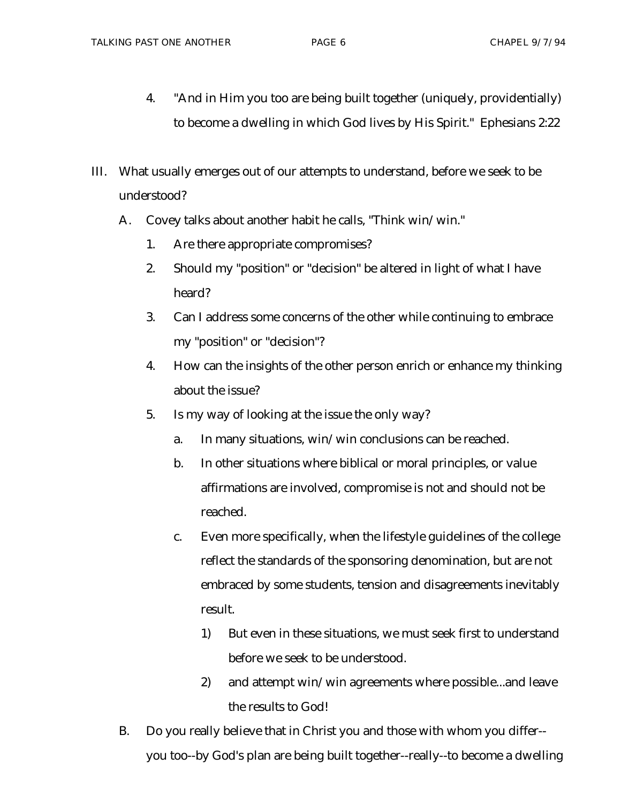- 4. "And in Him you too are being built together (uniquely, providentially) to become a dwelling in which God lives by His Spirit." Ephesians 2:22
- III. What usually emerges out of our attempts to understand, before we seek to be understood?
	- A. Covey talks about another habit he calls, "Think win/win."
		- 1. Are there appropriate compromises?
		- 2. Should my "position" or "decision" be altered in light of what I have heard?
		- 3. Can I address some concerns of the other while continuing to embrace my "position" or "decision"?
		- 4. How can the insights of the other person enrich or enhance my thinking about the issue?
		- 5. Is my way of looking at the issue the only way?
			- a. In many situations, win/win conclusions can be reached.
			- b. In other situations where biblical or moral principles, or value affirmations are involved, compromise is not and should not be reached.
			- c. Even more specifically, when the lifestyle guidelines of the college reflect the standards of the sponsoring denomination, but are not embraced by some students, tension and disagreements inevitably result.
				- 1) But even in these situations, we must seek first to understand before we seek to be understood.
				- 2) and attempt win/win agreements where possible...and leave the results to God!
	- B. Do you really believe that in Christ you and those with whom you differ- you too--by God's plan are being built together--really--to become a dwelling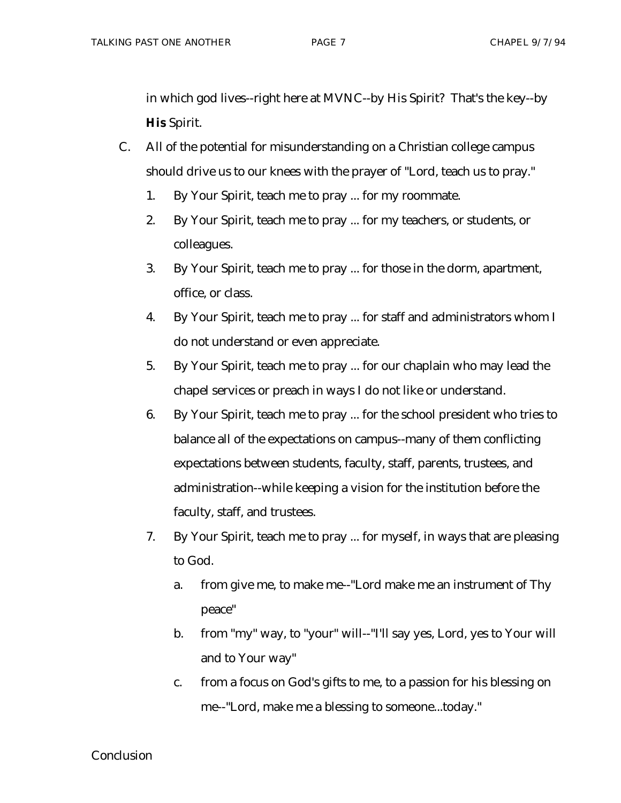in which god lives--right here at MVNC--by His Spirit? That's the key--by **His** Spirit.

- C. All of the potential for misunderstanding on a Christian college campus should drive us to our knees with the prayer of "Lord, teach us to pray."
	- 1. By Your Spirit, teach me to pray ... for my roommate.
	- 2. By Your Spirit, teach me to pray ... for my teachers, or students, or colleagues.
	- 3. By Your Spirit, teach me to pray ... for those in the dorm, apartment, office, or class.
	- 4. By Your Spirit, teach me to pray ... for staff and administrators whom I do not understand or even appreciate.
	- 5. By Your Spirit, teach me to pray ... for our chaplain who may lead the chapel services or preach in ways I do not like or understand.
	- 6. By Your Spirit, teach me to pray ... for the school president who tries to balance all of the expectations on campus--many of them conflicting expectations between students, faculty, staff, parents, trustees, and administration--while keeping a vision for the institution before the faculty, staff, and trustees.
	- 7. By Your Spirit, teach me to pray ... for myself, in ways that are pleasing to God.
		- a. from give me, to make me--"Lord make me an instrument of Thy peace"
		- b. from "my" way, to "your" will--"I'll say yes, Lord, yes to Your will and to Your way"
		- c. from a focus on God's gifts to me, to a passion for his blessing on me--"Lord, make me a blessing to someone...today."

## Conclusion